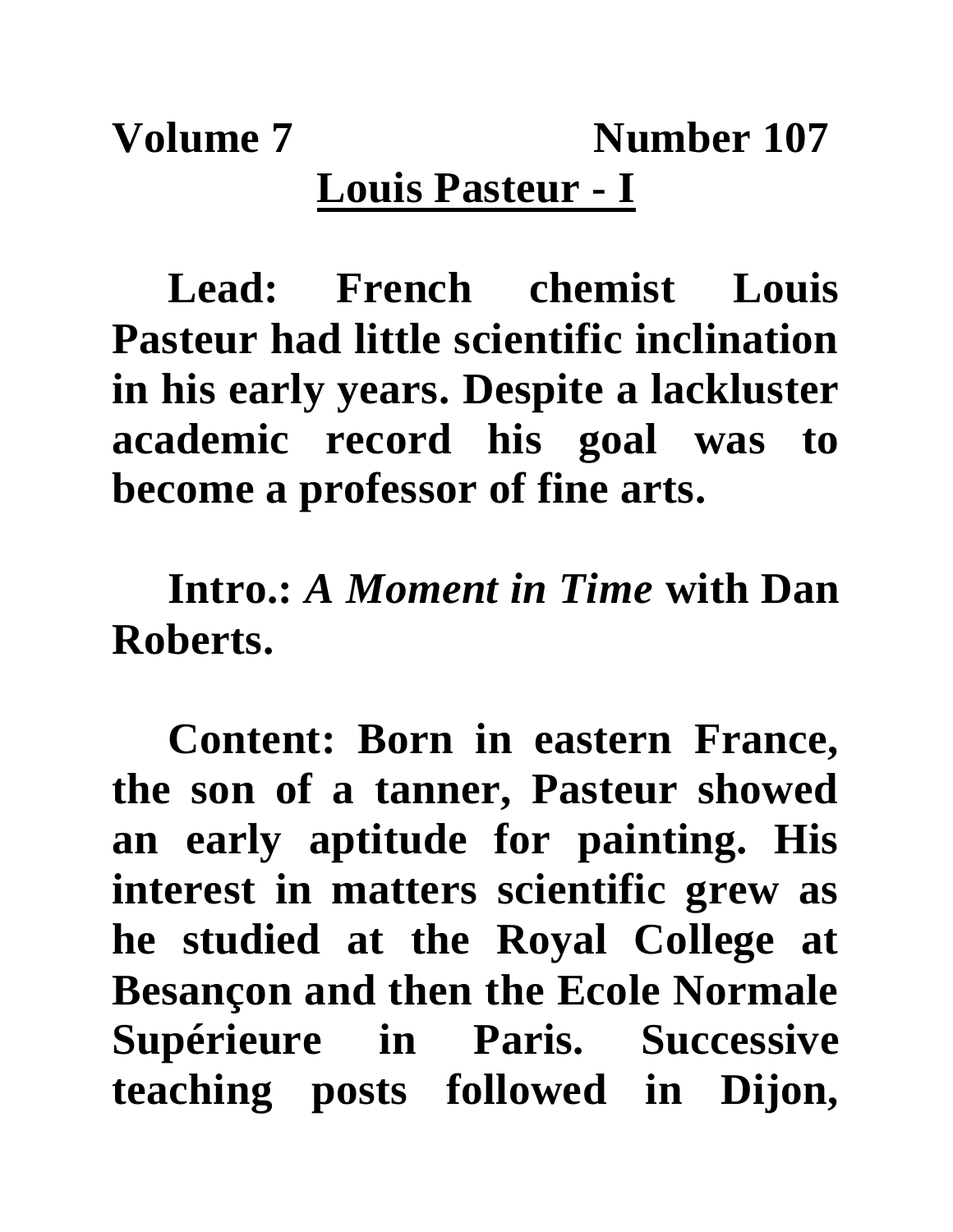**Volume 7** Number 107 **Louis Pasteur - I**

**Lead: French chemist Louis Pasteur had little scientific inclination in his early years. Despite a lackluster academic record his goal was to become a professor of fine arts.**

**Intro.:** *A Moment in Time* **with Dan Roberts.**

**Content: Born in eastern France, the son of a tanner, Pasteur showed an early aptitude for painting. His interest in matters scientific grew as he studied at the Royal College at Besançon and then the Ecole Normale Supérieure in Paris. Successive teaching posts followed in Dijon,**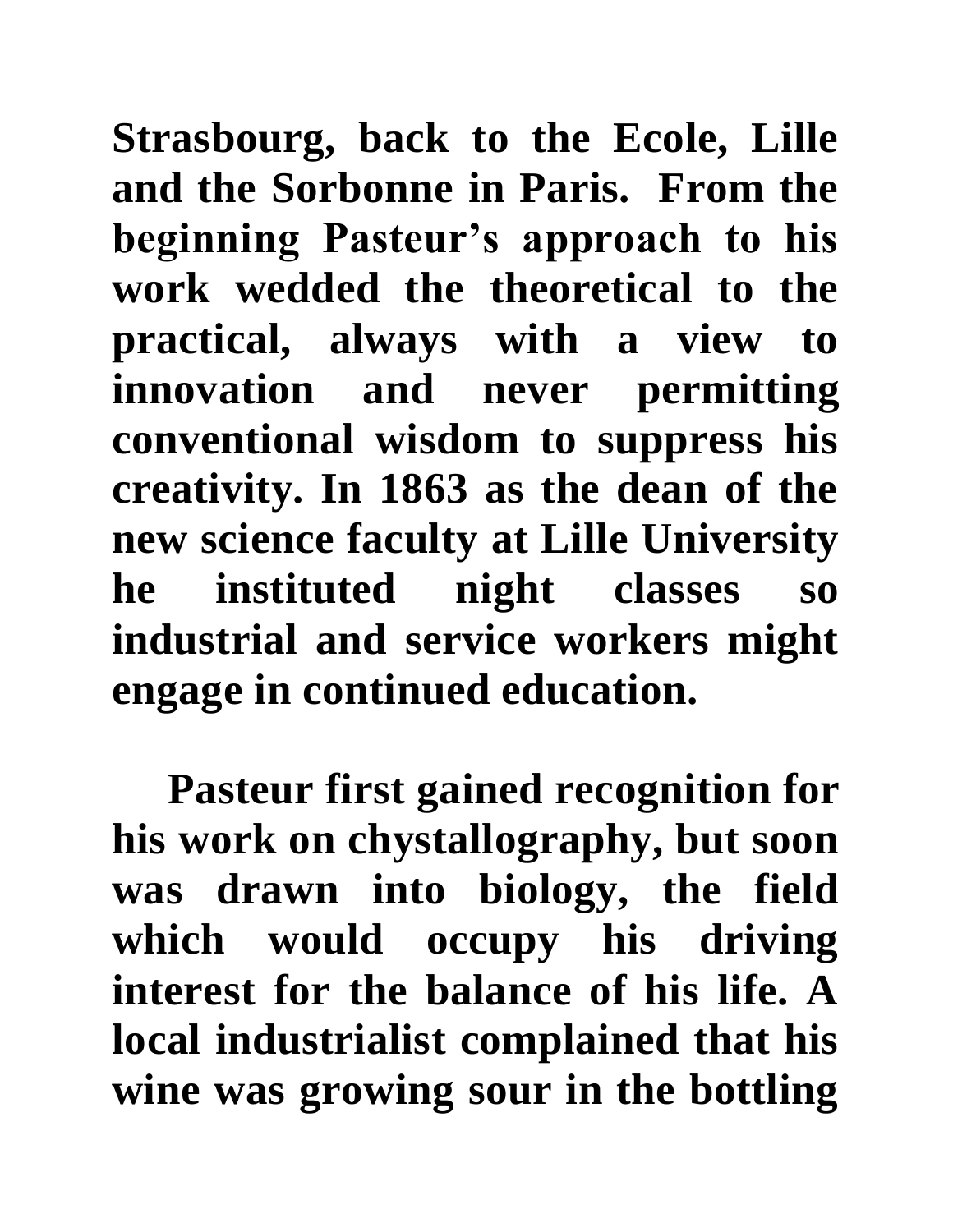**Strasbourg, back to the Ecole, Lille and the Sorbonne in Paris. From the beginning Pasteur's approach to his work wedded the theoretical to the practical, always with a view to innovation and never permitting conventional wisdom to suppress his creativity. In 1863 as the dean of the new science faculty at Lille University he instituted night classes so industrial and service workers might engage in continued education.** 

**Pasteur first gained recognition for his work on chystallography, but soon was drawn into biology, the field which would occupy his driving interest for the balance of his life. A local industrialist complained that his wine was growing sour in the bottling**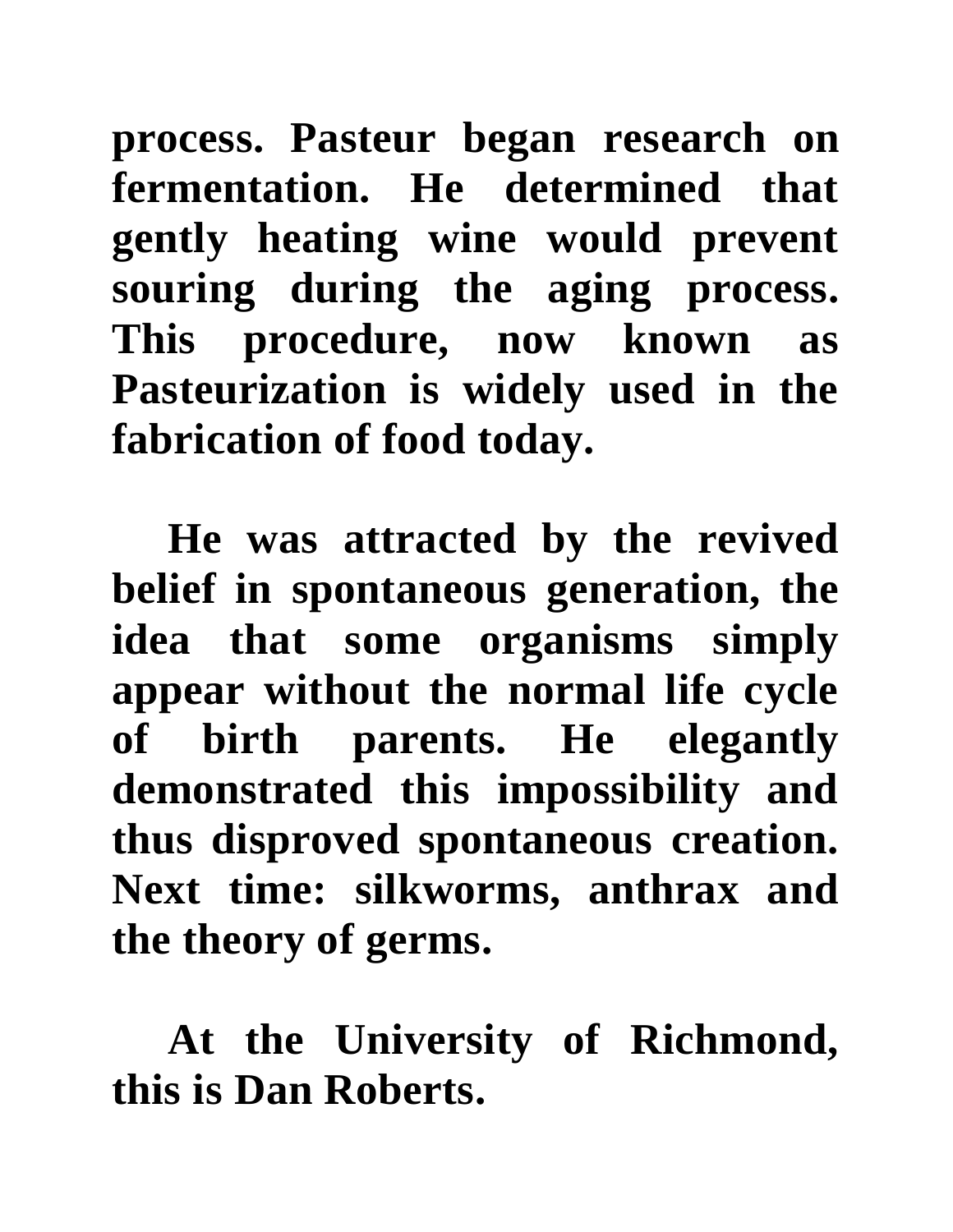**process. Pasteur began research on fermentation. He determined that gently heating wine would prevent souring during the aging process. This procedure, now known as Pasteurization is widely used in the fabrication of food today.**

**He was attracted by the revived belief in spontaneous generation, the idea that some organisms simply appear without the normal life cycle of birth parents. He elegantly demonstrated this impossibility and thus disproved spontaneous creation. Next time: silkworms, anthrax and the theory of germs.**

**At the University of Richmond, this is Dan Roberts.**